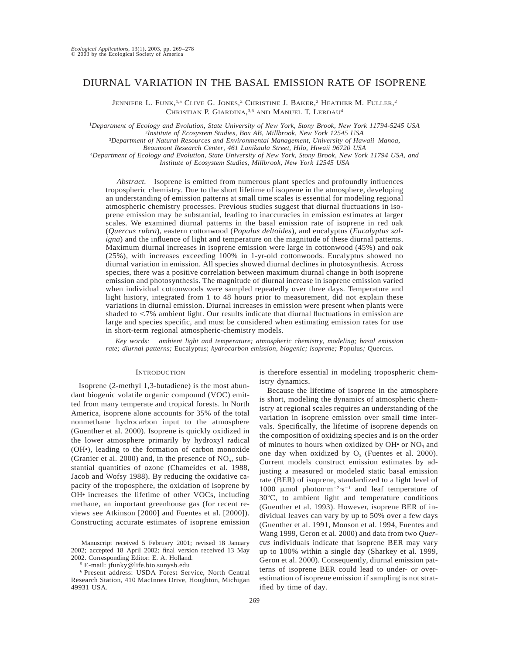# DIURNAL VARIATION IN THE BASAL EMISSION RATE OF ISOPRENE

Jennifer L. Funk,<sup>1,5</sup> Clive G. Jones,<sup>2</sup> Christine J. Baker,<sup>2</sup> Heather M. Fuller,<sup>2</sup> CHRISTIAN P. GIARDINA,<sup>3,6</sup> AND MANUEL T. LERDAU<sup>4</sup>

1 *Department of Ecology and Evolution, State University of New York, Stony Brook, New York 11794-5245 USA* 2 *Institute of Ecosystem Studies, Box AB, Millbrook, New York 12545 USA* <sup>3</sup>*Department of Natural Resources and Environmental Management, University of Hawaii–Manoa,*

*Beaumont Research Center, 461 Lanikaula Street, Hilo, Hiwaii 96720 USA*

4 *Department of Ecology and Evolution, State University of New York, Stony Brook, New York 11794 USA, and*

*Institute of Ecosystem Studies, Millbrook, New York 12545 USA*

*Abstract.* Isoprene is emitted from numerous plant species and profoundly influences tropospheric chemistry. Due to the short lifetime of isoprene in the atmosphere, developing an understanding of emission patterns at small time scales is essential for modeling regional atmospheric chemistry processes. Previous studies suggest that diurnal fluctuations in isoprene emission may be substantial, leading to inaccuracies in emission estimates at larger scales. We examined diurnal patterns in the basal emission rate of isoprene in red oak (*Quercus rubra*), eastern cottonwood (*Populus deltoides*), and eucalyptus (*Eucalyptus saligna*) and the influence of light and temperature on the magnitude of these diurnal patterns. Maximum diurnal increases in isoprene emission were large in cottonwood (45%) and oak (25%), with increases exceeding 100% in 1-yr-old cottonwoods. Eucalyptus showed no diurnal variation in emission. All species showed diurnal declines in photosynthesis. Across species, there was a positive correlation between maximum diurnal change in both isoprene emission and photosynthesis. The magnitude of diurnal increase in isoprene emission varied when individual cottonwoods were sampled repeatedly over three days. Temperature and light history, integrated from 1 to 48 hours prior to measurement, did not explain these variations in diurnal emission. Diurnal increases in emission were present when plants were shaded to  $\leq$ 7% ambient light. Our results indicate that diurnal fluctuations in emission are large and species specific, and must be considered when estimating emission rates for use in short-term regional atmospheric-chemistry models.

*Key words: ambient light and temperature; atmospheric chemistry, modeling; basal emission rate; diurnal patterns;* Eucalyptus; *hydrocarbon emission, biogenic; isoprene;* Populus*;* Quercus*.*

### **INTRODUCTION**

Isoprene (2-methyl 1,3-butadiene) is the most abundant biogenic volatile organic compound (VOC) emitted from many temperate and tropical forests. In North America, isoprene alone accounts for 35% of the total nonmethane hydrocarbon input to the atmosphere (Guenther et al. 2000). Isoprene is quickly oxidized in the lower atmosphere primarily by hydroxyl radical (OH•), leading to the formation of carbon monoxide (Granier et al. 2000) and, in the presence of  $NO<sub>x</sub>$ , substantial quantities of ozone (Chameides et al. 1988, Jacob and Wofsy 1988). By reducing the oxidative capacity of the troposphere, the oxidation of isoprene by OH• increases the lifetime of other VOCs, including methane, an important greenhouse gas (for recent reviews see Atkinson [2000] and Fuentes et al. [2000]). Constructing accurate estimates of isoprene emission

Manuscript received 5 February 2001; revised 18 January 2002; accepted 18 April 2002; final version received 13 May 2002. Corresponding Editor: E. A. Holland.

<sup>5</sup> E-mail: jfunky@life.bio.sunysb.edu

<sup>6</sup> Present address: USDA Forest Service, North Central Research Station, 410 MacInnes Drive, Houghton, Michigan 49931 USA.

is therefore essential in modeling tropospheric chemistry dynamics.

Because the lifetime of isoprene in the atmosphere is short, modeling the dynamics of atmospheric chemistry at regional scales requires an understanding of the variation in isoprene emission over small time intervals. Specifically, the lifetime of isoprene depends on the composition of oxidizing species and is on the order of minutes to hours when oxidized by  $OH<sup>•</sup>$  or  $NO<sub>3</sub>$  and one day when oxidized by  $O_3$  (Fuentes et al. 2000). Current models construct emission estimates by adjusting a measured or modeled static basal emission rate (BER) of isoprene, standardized to a light level of 1000  $\mu$ mol photon·m<sup>-2</sup>·s<sup>-1</sup> and leaf temperature of 30°C, to ambient light and temperature conditions (Guenther et al. 1993). However, isoprene BER of individual leaves can vary by up to 50% over a few days (Guenther et al. 1991, Monson et al. 1994, Fuentes and Wang 1999, Geron et al. 2000) and data from two *Quercus* individuals indicate that isoprene BER may vary up to 100% within a single day (Sharkey et al. 1999, Geron et al. 2000). Consequently, diurnal emission patterns of isoprene BER could lead to under- or overestimation of isoprene emission if sampling is not stratified by time of day.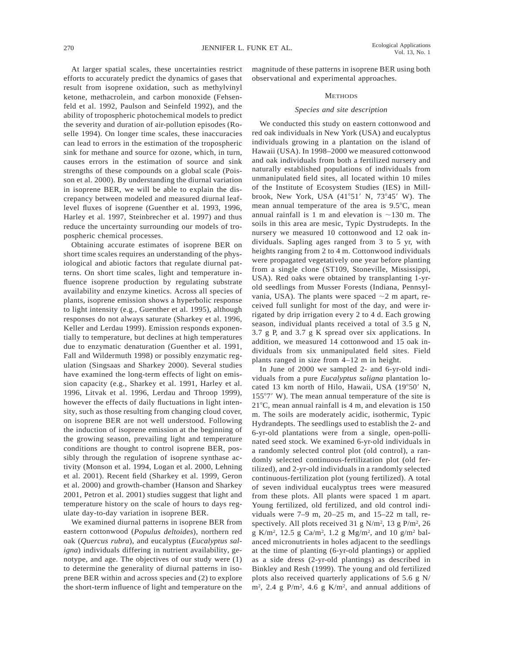At larger spatial scales, these uncertainties restrict efforts to accurately predict the dynamics of gases that result from isoprene oxidation, such as methylvinyl ketone, methacrolein, and carbon monoxide (Fehsenfeld et al. 1992, Paulson and Seinfeld 1992), and the ability of tropospheric photochemical models to predict the severity and duration of air-pollution episodes (Roselle 1994). On longer time scales, these inaccuracies can lead to errors in the estimation of the tropospheric sink for methane and source for ozone, which, in turn, causes errors in the estimation of source and sink strengths of these compounds on a global scale (Poisson et al. 2000). By understanding the diurnal variation in isoprene BER, we will be able to explain the discrepancy between modeled and measured diurnal leaflevel fluxes of isoprene (Guenther et al. 1993, 1996, Harley et al. 1997, Steinbrecher et al. 1997) and thus reduce the uncertainty surrounding our models of tropospheric chemical processes.

Obtaining accurate estimates of isoprene BER on short time scales requires an understanding of the physiological and abiotic factors that regulate diurnal patterns. On short time scales, light and temperature influence isoprene production by regulating substrate availability and enzyme kinetics. Across all species of plants, isoprene emission shows a hyperbolic response to light intensity (e.g., Guenther et al. 1995), although responses do not always saturate (Sharkey et al. 1996, Keller and Lerdau 1999). Emission responds exponentially to temperature, but declines at high temperatures due to enzymatic denaturation (Guenther et al. 1991, Fall and Wildermuth 1998) or possibly enzymatic regulation (Singsaas and Sharkey 2000). Several studies have examined the long-term effects of light on emission capacity (e.g., Sharkey et al. 1991, Harley et al. 1996, Litvak et al. 1996, Lerdau and Throop 1999), however the effects of daily fluctuations in light intensity, such as those resulting from changing cloud cover, on isoprene BER are not well understood. Following the induction of isoprene emission at the beginning of the growing season, prevailing light and temperature conditions are thought to control isoprene BER, possibly through the regulation of isoprene synthase activity (Monson et al. 1994, Logan et al. 2000, Lehning et al. 2001). Recent field (Sharkey et al. 1999, Geron et al. 2000) and growth-chamber (Hanson and Sharkey 2001, Petron et al. 2001) studies suggest that light and temperature history on the scale of hours to days regulate day-to-day variation in isoprene BER.

We examined diurnal patterns in isoprene BER from eastern cottonwood (*Populus deltoides*), northern red oak (*Quercus rubra*), and eucalyptus (*Eucalyptus saligna*) individuals differing in nutrient availability, genotype, and age. The objectives of our study were (1) to determine the generality of diurnal patterns in isoprene BER within and across species and (2) to explore the short-term influence of light and temperature on the magnitude of these patterns in isoprene BER using both observational and experimental approaches.

# **METHODS**

# *Species and site description*

We conducted this study on eastern cottonwood and red oak individuals in New York (USA) and eucalyptus individuals growing in a plantation on the island of Hawaii (USA). In 1998–2000 we measured cottonwood and oak individuals from both a fertilized nursery and naturally established populations of individuals from unmanipulated field sites, all located within 10 miles of the Institute of Ecosystem Studies (IES) in Millbrook, New York, USA  $(41°51'$  N,  $73°45'$  W). The mean annual temperature of the area is  $9.5^{\circ}$ C, mean annual rainfall is 1 m and elevation is  $\sim$ 130 m. The soils in this area are mesic, Typic Dystrudepts. In the nursery we measured 10 cottonwood and 12 oak individuals. Sapling ages ranged from 3 to 5 yr, with heights ranging from 2 to 4 m. Cottonwood individuals were propagated vegetatively one year before planting from a single clone (ST109, Stoneville, Mississippi, USA). Red oaks were obtained by transplanting 1-yrold seedlings from Musser Forests (Indiana, Pennsylvania, USA). The plants were spaced  $\sim$ 2 m apart, received full sunlight for most of the day, and were irrigated by drip irrigation every 2 to 4 d. Each growing season, individual plants received a total of 3.5 g N, 3.7 g P, and 3.7 g K spread over six applications. In addition, we measured 14 cottonwood and 15 oak individuals from six unmanipulated field sites. Field plants ranged in size from 4–12 m in height.

In June of 2000 we sampled 2- and 6-yr-old individuals from a pure *Eucalyptus saligna* plantation located 13 km north of Hilo, Hawaii, USA (19°50' N,  $155^{\circ}7'$  W). The mean annual temperature of the site is  $21^{\circ}$ C, mean annual rainfall is 4 m, and elevation is 150 m. The soils are moderately acidic, isothermic, Typic Hydrandepts. The seedlings used to establish the 2- and 6-yr-old plantations were from a single, open-pollinated seed stock. We examined 6-yr-old individuals in a randomly selected control plot (old control), a randomly selected continuous-fertilization plot (old fertilized), and 2-yr-old individuals in a randomly selected continuous-fertilization plot (young fertilized). A total of seven individual eucalyptus trees were measured from these plots. All plants were spaced 1 m apart. Young fertilized, old fertilized, and old control individuals were 7–9 m, 20–25 m, and 15–22 m tall, respectively. All plots received 31 g  $N/m^2$ , 13 g  $P/m^2$ , 26 g K/m2 , 12.5 g Ca/m2, 1.2 g Mg/m2 , and 10 g/m2 balanced micronutrients in holes adjacent to the seedlings at the time of planting (6-yr-old plantings) or applied as a side dress (2-yr-old plantings) as described in Binkley and Resh (1999). The young and old fertilized plots also received quarterly applications of 5.6 g N/  $\text{m}^2$ , 2.4 g P/m<sup>2</sup>, 4.6 g K/m<sup>2</sup>, and annual additions of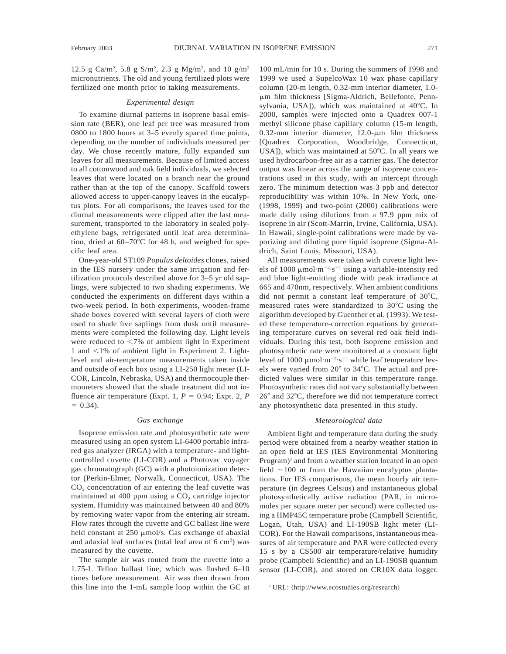12.5 g Ca/m<sup>2</sup>, 5.8 g S/m<sup>2</sup>, 2.3 g Mg/m<sup>2</sup>, and 10 g/m<sup>2</sup> micronutrients. The old and young fertilized plots were fertilized one month prior to taking measurements.

### *Experimental design*

To examine diurnal patterns in isoprene basal emission rate (BER), one leaf per tree was measured from 0800 to 1800 hours at 3–5 evenly spaced time points, depending on the number of individuals measured per day. We chose recently mature, fully expanded sun leaves for all measurements. Because of limited access to all cottonwood and oak field individuals, we selected leaves that were located on a branch near the ground rather than at the top of the canopy. Scaffold towers allowed access to upper-canopy leaves in the eucalyptus plots. For all comparisons, the leaves used for the diurnal measurements were clipped after the last measurement, transported to the laboratory in sealed polyethylene bags, refrigerated until leaf area determination, dried at  $60-70^{\circ}$ C for 48 h, and weighed for specific leaf area.

One-year-old ST109 *Populus deltoides* clones, raised in the IES nursery under the same irrigation and fertilization protocols described above for 3–5 yr old saplings, were subjected to two shading experiments. We conducted the experiments on different days within a two-week period. In both experiments, wooden-frame shade boxes covered with several layers of cloth were used to shade five saplings from dusk until measurements were completed the following day. Light levels were reduced to  $\leq$ 7% of ambient light in Experiment 1 and  $\leq$ 1% of ambient light in Experiment 2. Lightlevel and air-temperature measurements taken inside and outside of each box using a LI-250 light meter (LI-COR, Lincoln, Nebraska, USA) and thermocouple thermometers showed that the shade treatment did not influence air temperature (Expt. 1,  $P = 0.94$ ; Expt. 2,  $P$  $= 0.34$ .

### *Gas exchange*

Isoprene emission rate and photosynthetic rate were measured using an open system LI-6400 portable infrared gas analyzer (IRGA) with a temperature- and lightcontrolled cuvette (LI-COR) and a Photovac voyager gas chromatograph (GC) with a photoionization detector (Perkin-Elmer, Norwalk, Connecticut, USA). The CO<sub>2</sub> concentration of air entering the leaf cuvette was maintained at 400 ppm using a  $CO<sub>2</sub>$  cartridge injector system. Humidity was maintained between 40 and 80% by removing water vapor from the entering air stream. Flow rates through the cuvette and GC ballast line were held constant at  $250 \mu \text{mol/s}$ . Gas exchange of abaxial and adaxial leaf surfaces (total leaf area of 6 cm<sup>2</sup>) was measured by the cuvette.

The sample air was routed from the cuvette into a 1.75-L Teflon ballast line, which was flushed 6–10 times before measurement. Air was then drawn from this line into the 1-mL sample loop within the GC at

100 mL/min for 10 s. During the summers of 1998 and 1999 we used a SupelcoWax 10 wax phase capillary column (20-m length, 0.32-mm interior diameter, 1.0 mm film thickness [Sigma-Aldrich, Bellefonte, Pennsylvania, USA]), which was maintained at  $40^{\circ}$ C. In 2000, samples were injected onto a Quadrex 007-1 methyl silicone phase capillary column (15-m length, 0.32-mm interior diameter,  $12.0$ - $\mu$ m film thickness [Quadrex Corporation, Woodbridge, Connecticut, USA]), which was maintained at  $50^{\circ}$ C. In all years we used hydrocarbon-free air as a carrier gas. The detector output was linear across the range of isoprene concentrations used in this study, with an intercept through zero. The minimum detection was 3 ppb and detector reproducibility was within 10%. In New York, one- (1998, 1999) and two-point (2000) calibrations were made daily using dilutions from a 97.9 ppm mix of isoprene in air (Scott-Marrin, Irvine, California, USA). In Hawaii, single-point calibrations were made by vaporizing and diluting pure liquid isoprene (Sigma-Aldrich, Saint Louis, Missouri, USA).

All measurements were taken with cuvette light levels of 1000  $\mu$ mol·m<sup>-2</sup>·s<sup>-1</sup> using a variable-intensity red and blue light-emitting diode with peak irradiance at 665 and 470nm, respectively. When ambient conditions did not permit a constant leaf temperature of  $30^{\circ}$ C, measured rates were standardized to  $30^{\circ}$ C using the algorithm developed by Guenther et al. (1993). We tested these temperature-correction equations by generating temperature curves on several red oak field individuals. During this test, both isoprene emission and photosynthetic rate were monitored at a constant light level of 1000  $\mu$ mol·m<sup>-2</sup>·s<sup>-1</sup> while leaf temperature levels were varied from 20° to 34°C. The actual and predicted values were similar in this temperature range. Photosynthetic rates did not vary substantially between  $26^{\circ}$  and  $32^{\circ}$ C, therefore we did not temperature correct any photosynthetic data presented in this study.

#### *Meteorological data*

Ambient light and temperature data during the study period were obtained from a nearby weather station in an open field at IES (IES Environmental Monitoring Program)<sup>7</sup> and from a weather station located in an open field  $\sim$ 100 m from the Hawaiian eucalyptus plantations. For IES comparisons, the mean hourly air temperature (in degrees Celsius) and instantaneous global photosynthetically active radiation (PAR, in micromoles per square meter per second) were collected using a HMP45C temperature probe (Campbell Scientific, Logan, Utah, USA) and LI-190SB light meter (LI-COR). For the Hawaii comparisons, instantaneous measures of air temperature and PAR were collected every 15 s by a CS500 air temperature/relative humidity probe (Campbell Scientific) and an LI-190SB quantum sensor (LI-COR), and stored on CR10X data logger.

<sup>7</sup> URL:  $\langle \text{http://www.ecostudies.org/research} \rangle$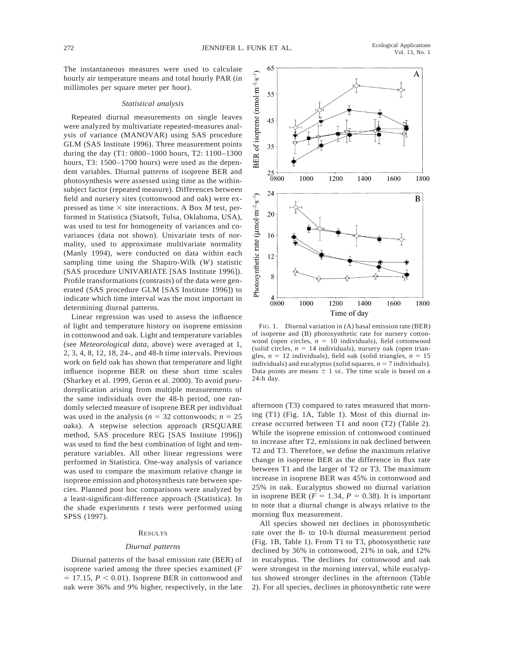The instantaneous measures were used to calculate hourly air temperature means and total hourly PAR (in millimoles per square meter per hour).

#### *Statistical analysis*

Repeated diurnal measurements on single leaves were analyzed by multivariate repeated-measures analysis of variance (MANOVAR) using SAS procedure GLM (SAS Institute 1996). Three measurement points during the day (T1: 0800–1000 hours, T2: 1100–1300 hours, T3: 1500–1700 hours) were used as the dependent variables. Diurnal patterns of isoprene BER and photosynthesis were assessed using time as the withinsubject factor (repeated measure). Differences between field and nursery sites (cottonwood and oak) were expressed as time  $\times$  site interactions. A Box *M* test, performed in Statistica (Statsoft, Tulsa, Oklahoma, USA), was used to test for homogeneity of variances and covariances (data not shown). Univariate tests of normality, used to approximate multivariate normality (Manly 1994), were conducted on data within each sampling time using the Shapiro-Wilk (*W*) statistic (SAS procedure UNIVARIATE [SAS Institute 1996]). Profile transformations (contrasts) of the data were generated (SAS procedure GLM [SAS Institute 1996]) to indicate which time interval was the most important in determining diurnal patterns.

Linear regression was used to assess the influence of light and temperature history on isoprene emission in cottonwood and oak. Light and temperature variables (see *Meteorological data,* above) were averaged at 1, 2, 3, 4, 8, 12, 18, 24-, and 48-h time intervals. Previous work on field oak has shown that temperature and light influence isoprene BER on these short time scales (Sharkey et al. 1999, Geron et al. 2000). To avoid pseudoreplication arising from multiple measurements of the same individuals over the 48-h period, one randomly selected measure of isoprene BER per individual was used in the analysis ( $n = 32$  cottonwoods;  $n = 25$ oaks). A stepwise selection approach (RSQUARE method, SAS procedure REG [SAS Institute 1996]) was used to find the best combination of light and temperature variables. All other linear regressions were performed in Statistica. One-way analysis of variance was used to compare the maximum relative change in isoprene emission and photosynthesis rate between species. Planned post hoc comparisons were analyzed by a least-significant-difference approach (Statistica). In the shade experiments *t* tests were performed using SPSS (1997).

#### RESULTS

#### *Diurnal patterns*

Diurnal patterns of the basal emission rate (BER) of isoprene varied among the three species examined (*F*  $= 17.15$ ,  $P < 0.01$ ). Isoprene BER in cottonwood and oak were 36% and 9% higher, respectively, in the late



FIG. 1. Diurnal variation in (A) basal emission rate (BER) of isoprene and (B) photosynthetic rate for nursery cottonwood (open circles,  $n = 10$  individuals), field cottonwood (solid circles,  $n = 14$  individuals), nursery oak (open triangles,  $n = 12$  individuals), field oak (solid triangles,  $n = 15$ individuals) and eucalyptus (solid squares,  $n = 7$  individuals). Data points are means  $\pm$  1 sE. The time scale is based on a 24-h day.

afternoon (T3) compared to rates measured that morning (T1) (Fig. 1A, Table 1). Most of this diurnal increase occurred between T1 and noon (T2) (Table 2). While the isoprene emission of cottonwood continued to increase after T2, emissions in oak declined between T2 and T3. Therefore, we define the maximum relative change in isoprene BER as the difference in flux rate between T1 and the larger of T2 or T3. The maximum increase in isoprene BER was 45% in cottonwood and 25% in oak. Eucalyptus showed no diurnal variation in isoprene BER  $(F = 1.34, P = 0.38)$ . It is important to note that a diurnal change is always relative to the morning flux measurement.

All species showed net declines in photosynthetic rate over the 8- to 10-h diurnal measurement period (Fig. 1B, Table 1). From T1 to T3, photosynthetic rate declined by 36% in cottonwood, 21% in oak, and 12% in eucalyptus. The declines for cottonwood and oak were strongest in the morning interval, while eucalyptus showed stronger declines in the afternoon (Table 2). For all species, declines in photosynthetic rate were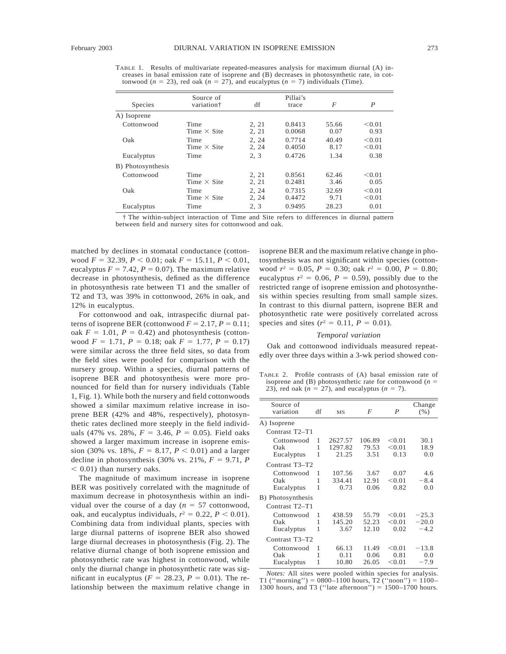TABLE 1. Results of multivariate repeated-measures analysis for maximum diurnal (A) increases in basal emission rate of isoprene and (B) decreases in photosynthetic rate, in cottonwood ( $n = 23$ ), red oak ( $n = 27$ ), and eucalyptus ( $n = 7$ ) individuals (Time).

| Species           | Source of<br>variation <sup>†</sup> | df             | Pillai's<br>trace | $\boldsymbol{F}$ | $\boldsymbol{P}$ |
|-------------------|-------------------------------------|----------------|-------------------|------------------|------------------|
| A) Isoprene       |                                     |                |                   |                  |                  |
| Cottonwood        | Time<br>Time $\times$ Site          | 2. 21<br>2, 21 | 0.8413<br>0.0068  | 55.66<br>0.07    | < 0.01<br>0.93   |
| Oak               | Time<br>Time $\times$ Site          | 2, 24<br>2.24  | 0.7714<br>0.4050  | 40.49<br>8.17    | < 0.01<br>< 0.01 |
| Eucalyptus        | Time                                | 2, 3           | 0.4726            | 1.34             | 0.38             |
| B) Photosynthesis |                                     |                |                   |                  |                  |
| Cottonwood        | Time<br>Time $\times$ Site          | 2, 21<br>2, 21 | 0.8561<br>0.2481  | 62.46<br>3.46    | < 0.01<br>0.05   |
| Oak               | Time<br>Time $\times$ Site          | 2, 24<br>2, 24 | 0.7315<br>0.4472  | 32.69<br>9.71    | < 0.01<br>< 0.01 |
| Eucalyptus        | Time                                | 2, 3           | 0.9495            | 28.23            | 0.01             |

† The within-subject interaction of Time and Site refers to differences in diurnal pattern between field and nursery sites for cottonwood and oak.

matched by declines in stomatal conductance (cottonwood  $F = 32.39$ ,  $P < 0.01$ ; oak  $F = 15.11$ ,  $P < 0.01$ , eucalyptus  $F = 7.42$ ,  $P = 0.07$ ). The maximum relative decrease in photosynthesis, defined as the difference in photosynthesis rate between T1 and the smaller of T2 and T3, was 39% in cottonwood, 26% in oak, and 12% in eucalyptus.

For cottonwood and oak, intraspecific diurnal patterns of isoprene BER (cottonwood  $F = 2.17$ ,  $P = 0.11$ ; oak  $F = 1.01$ ,  $P = 0.42$ ) and photosynthesis (cottonwood  $F = 1.71$ ,  $P = 0.18$ ; oak  $F = 1.77$ ,  $P = 0.17$ ) were similar across the three field sites, so data from the field sites were pooled for comparison with the nursery group. Within a species, diurnal patterns of isoprene BER and photosynthesis were more pronounced for field than for nursery individuals (Table 1, Fig. 1). While both the nursery and field cottonwoods showed a similar maximum relative increase in isoprene BER (42% and 48%, respectively), photosynthetic rates declined more steeply in the field individuals (47% vs. 28%,  $F = 3.46$ ,  $P = 0.05$ ). Field oaks showed a larger maximum increase in isoprene emission (30% vs. 18%,  $F = 8.17$ ,  $P < 0.01$ ) and a larger decline in photosynthesis (30% vs. 21%,  $F = 9.71$ , *P*  $< 0.01$ ) than nursery oaks.

The magnitude of maximum increase in isoprene BER was positively correlated with the magnitude of maximum decrease in photosynthesis within an individual over the course of a day  $(n = 57 \text{ cottonwood})$ , oak, and eucalyptus individuals,  $r^2 = 0.22$ ,  $P < 0.01$ ). Combining data from individual plants, species with large diurnal patterns of isoprene BER also showed large diurnal decreases in photosynthesis (Fig. 2). The relative diurnal change of both isoprene emission and photosynthetic rate was highest in cottonwood, while only the diurnal change in photosynthetic rate was significant in eucalyptus ( $F = 28.23$ ,  $P = 0.01$ ). The relationship between the maximum relative change in isoprene BER and the maximum relative change in photosynthesis was not significant within species (cottonwood  $r^2 = 0.05$ ,  $P = 0.30$ ; oak  $r^2 = 0.00$ ,  $P = 0.80$ ; eucalyptus  $r^2 = 0.06$ ,  $P = 0.59$ ), possibly due to the restricted range of isoprene emission and photosynthesis within species resulting from small sample sizes. In contrast to this diurnal pattern, isoprene BER and photosynthetic rate were positively correlated across species and sites ( $r^2 = 0.11$ ,  $P = 0.01$ ).

#### *Temporal variation*

Oak and cottonwood individuals measured repeatedly over three days within a 3-wk period showed con-

TABLE 2. Profile contrasts of (A) basal emission rate of isoprene and (B) photosynthetic rate for cottonwood ( $n =$ 23), red oak ( $n = 27$ ), and eucalyptus ( $n = 7$ ).

| Source of<br>variation | df | <b>MS</b> | F      | $\boldsymbol{P}$ | Change<br>(% ) |  |  |
|------------------------|----|-----------|--------|------------------|----------------|--|--|
| A) Isoprene            |    |           |        |                  |                |  |  |
| Contrast T2-T1         |    |           |        |                  |                |  |  |
| Cottonwood             | 1  | 2627.57   | 106.89 | < 0.01           | 30.1           |  |  |
| Oak                    | 1  | 1297.82   | 79.53  | < 0.01           | 18.9           |  |  |
| Eucalyptus             | 1  | 21.25     | 3.51   | 0.13             | 0.0            |  |  |
| Contrast T3-T2         |    |           |        |                  |                |  |  |
| Cottonwood             | 1  | 107.56    | 3.67   | 0.07             | 4.6            |  |  |
| Oak                    | 1  | 334.41    | 12.91  | < 0.01           | $-8.4$         |  |  |
| Eucalyptus             | 1  | 0.73      | 0.06   | 0.82             | 0.0            |  |  |
| B) Photosynthesis      |    |           |        |                  |                |  |  |
| Contrast T2-T1         |    |           |        |                  |                |  |  |
| Cottonwood             | 1  | 438.59    | 55.79  | < 0.01           | $-25.3$        |  |  |
| Oak                    | 1  | 145.20    | 52.23  | < 0.01           | $-20.0$        |  |  |
| Eucalyptus             | 1  | 3.67      | 12.10  | 0.02             | $-4.2$         |  |  |
| Contrast T3-T2         |    |           |        |                  |                |  |  |
| Cottonwood             | 1  | 66.13     | 11.49  | < 0.01           | $-13.8$        |  |  |
| Oak                    | 1  | 0.11      | 0.06   | 0.81             | 0.0            |  |  |
| Eucalyptus             | 1  | 10.80     | 26.05  | < 0.01           | $-7.9$         |  |  |

*Notes:* All sites were pooled within species for analysis. T1 ("morning") =  $0800-1100$  hours, T2 ("noon") =  $1100-$ 1300 hours, and T3 ("late afternoon") =  $1500-1700$  hours.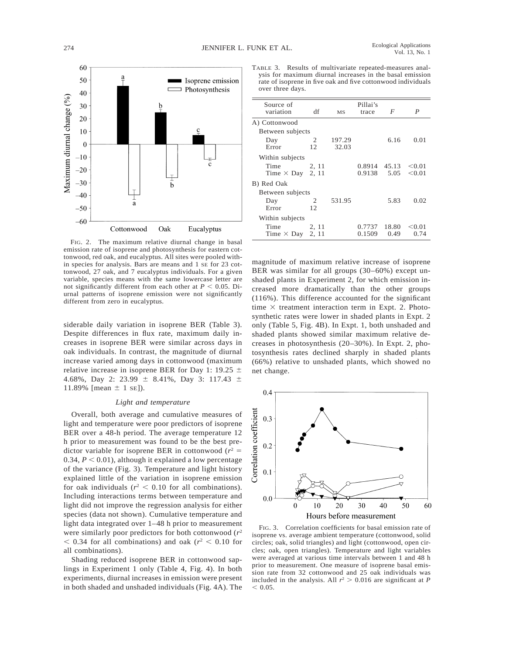

FIG. 2. The maximum relative diurnal change in basal emission rate of isoprene and photosynthesis for eastern cottonwood, red oak, and eucalyptus. All sites were pooled within species for analysis. Bars are means and 1 SE for 23 cottonwood, 27 oak, and 7 eucalyptus individuals. For a given variable, species means with the same lowercase letter are not significantly different from each other at  $P < 0.05$ . Diurnal patterns of isoprene emission were not significantly different from zero in eucalyptus.

siderable daily variation in isoprene BER (Table 3). Despite differences in flux rate, maximum daily increases in isoprene BER were similar across days in oak individuals. In contrast, the magnitude of diurnal increase varied among days in cottonwood (maximum relative increase in isoprene BER for Day 1: 19.25  $\pm$ 4.68%, Day 2: 23.99  $\pm$  8.41%, Day 3: 117.43  $\pm$ 11.89% [mean  $\pm$  1 se]).

#### *Light and temperature*

Overall, both average and cumulative measures of light and temperature were poor predictors of isoprene BER over a 48-h period. The average temperature 12 h prior to measurement was found to be the best predictor variable for isoprene BER in cottonwood  $(r^2 =$ 0.34,  $P < 0.01$ ), although it explained a low percentage of the variance (Fig. 3). Temperature and light history explained little of the variation in isoprene emission for oak individuals ( $r^2$  < 0.10 for all combinations). Including interactions terms between temperature and light did not improve the regression analysis for either species (data not shown). Cumulative temperature and light data integrated over 1–48 h prior to measurement were similarly poor predictors for both cottonwood (*r*<sup>2</sup>  $<$  0.34 for all combinations) and oak ( $r^2$   $<$  0.10 for all combinations).

Shading reduced isoprene BER in cottonwood saplings in Experiment 1 only (Table 4, Fig. 4). In both experiments, diurnal increases in emission were present in both shaded and unshaded individuals (Fig. 4A). The

TABLE 3. Results of multivariate repeated-measures analysis for maximum diurnal increases in the basal emission rate of isoprene in five oak and five cottonwood individuals over three days.

| Source of<br>variation | df    | MS     | Pillai's<br>trace | $\overline{F}$ | P      |  |
|------------------------|-------|--------|-------------------|----------------|--------|--|
| A) Cottonwood          |       |        |                   |                |        |  |
| Between subjects       |       |        |                   |                |        |  |
| Day                    | 2     | 197.29 |                   | 6.16           | 0.01   |  |
| Error                  | 12    | 32.03  |                   |                |        |  |
| Within subjects        |       |        |                   |                |        |  |
| Time                   | 2, 11 |        | 0.8914 45.13      |                | < 0.01 |  |
| Time $\times$ Day      | 2, 11 |        | 0.9138            | 5.05           | < 0.01 |  |
| B) Red Oak             |       |        |                   |                |        |  |
| Between subjects       |       |        |                   |                |        |  |
| Day                    | 2     | 531.95 |                   | 5.83           | 0.02   |  |
| Error                  | 12    |        |                   |                |        |  |
| Within subjects        |       |        |                   |                |        |  |
| Time                   | 2, 11 |        | 0.7737            | 18.80          | < 0.01 |  |
| Time $\times$ Day      | 2, 11 |        | 0.1509            | 0.49           | 0.74   |  |

magnitude of maximum relative increase of isoprene BER was similar for all groups (30–60%) except unshaded plants in Experiment 2, for which emission increased more dramatically than the other groups (116%). This difference accounted for the significant time  $\times$  treatment interaction term in Expt. 2. Photosynthetic rates were lower in shaded plants in Expt. 2 only (Table 5, Fig. 4B). In Expt. 1, both unshaded and shaded plants showed similar maximum relative decreases in photosynthesis (20–30%). In Expt. 2, photosynthesis rates declined sharply in shaded plants (66%) relative to unshaded plants, which showed no net change.



FIG. 3. Correlation coefficients for basal emission rate of isoprene vs. average ambient temperature (cottonwood, solid circles; oak, solid triangles) and light (cottonwood, open circles; oak, open triangles). Temperature and light variables were averaged at various time intervals between 1 and 48 h prior to measurement. One measure of isoprene basal emission rate from 32 cottonwood and 25 oak individuals was included in the analysis. All  $r^2 > 0.016$  are significant at *P*  $< 0.05.$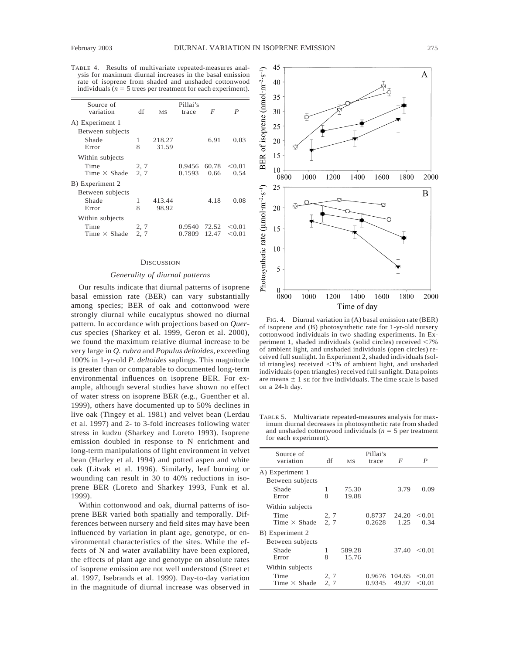TABLE 4. Results of multivariate repeated-measures analysis for maximum diurnal increases in the basal emission rate of isoprene from shaded and unshaded cottonwood individuals ( $n = 5$  trees per treatment for each experiment).

| Source of<br>variation | df   | <b>MS</b> | Pillai's<br>trace | F     | P      |
|------------------------|------|-----------|-------------------|-------|--------|
| A) Experiment 1        |      |           |                   |       |        |
| Between subjects       |      |           |                   |       |        |
| Shade                  | 1    | 218.27    |                   | 6.91  | 0.03   |
| Error                  | 8    | 31.59     |                   |       |        |
| Within subjects        |      |           |                   |       |        |
| Time                   | 2, 7 |           | 0.9456            | 60.78 | < 0.01 |
| Time $\times$ Shade    | 2, 7 |           | 0.1593            | 0.66  | 0.54   |
| B) Experiment 2        |      |           |                   |       |        |
| Between subjects       |      |           |                   |       |        |
| Shade                  | 1    | 413.44    |                   | 4.18  | 0.08   |
| Error                  | 8    | 98.92     |                   |       |        |
| Within subjects        |      |           |                   |       |        |
| Time                   | 2, 7 |           | 0.9540            | 72.52 | < 0.01 |
| Time $\times$ Shade    | 2, 7 |           | 0.7809            | 12.47 | < 0.01 |

#### **DISCUSSION**

#### *Generality of diurnal patterns*

Our results indicate that diurnal patterns of isoprene basal emission rate (BER) can vary substantially among species; BER of oak and cottonwood were strongly diurnal while eucalyptus showed no diurnal pattern. In accordance with projections based on *Quercus* species (Sharkey et al. 1999, Geron et al. 2000), we found the maximum relative diurnal increase to be very large in *Q. rubra* and *Populus deltoides*, exceeding 100% in 1-yr-old *P. deltoides* saplings. This magnitude is greater than or comparable to documented long-term environmental influences on isoprene BER. For example, although several studies have shown no effect of water stress on isoprene BER (e.g., Guenther et al. 1999), others have documented up to 50% declines in live oak (Tingey et al. 1981) and velvet bean (Lerdau et al. 1997) and 2- to 3-fold increases following water stress in kudzu (Sharkey and Loreto 1993). Isoprene emission doubled in response to N enrichment and long-term manipulations of light environment in velvet bean (Harley et al. 1994) and potted aspen and white oak (Litvak et al. 1996). Similarly, leaf burning or wounding can result in 30 to 40% reductions in isoprene BER (Loreto and Sharkey 1993, Funk et al. 1999).

Within cottonwood and oak, diurnal patterns of isoprene BER varied both spatially and temporally. Differences between nursery and field sites may have been influenced by variation in plant age, genotype, or environmental characteristics of the sites. While the effects of N and water availability have been explored, the effects of plant age and genotype on absolute rates of isoprene emission are not well understood (Street et al. 1997, Isebrands et al. 1999). Day-to-day variation in the magnitude of diurnal increase was observed in



FIG. 4. Diurnal variation in (A) basal emission rate (BER) of isoprene and (B) photosynthetic rate for 1-yr-old nursery cottonwood individuals in two shading experiments. In Experiment 1, shaded individuals (solid circles) received  $\langle 7\%$ of ambient light, and unshaded individuals (open circles) received full sunlight. In Experiment 2, shaded individuals (solid triangles) received  $\leq$ 1% of ambient light, and unshaded individuals (open triangles) received full sunlight. Data points are means  $\pm$  1 se for five individuals. The time scale is based on a 24-h day.

TABLE 5. Multivariate repeated-measures analysis for maximum diurnal decreases in photosynthetic rate from shaded and unshaded cottonwood individuals ( $n = 5$  per treatment for each experiment).

| df   | <b>MS</b> | Pillai's<br>trace | F      | P      |
|------|-----------|-------------------|--------|--------|
|      |           |                   |        |        |
|      |           |                   |        |        |
| 1    | 75.30     |                   | 3.79   | 0.09   |
| 8    | 19.88     |                   |        |        |
|      |           |                   |        |        |
| 2, 7 |           | 0.8737            | 24.20  | < 0.01 |
| 2, 7 |           | 0.2628            | 1.25   | 0.34   |
|      |           |                   |        |        |
|      |           |                   |        |        |
| 1    |           |                   | 37.40  | < 0.01 |
| 8    | 15.76     |                   |        |        |
|      |           |                   |        |        |
| 2, 7 |           | 0.9676            | 104.65 | < 0.01 |
| 2, 7 |           | 0.9345            | 49.97  | < 0.01 |
|      |           | 589.28            |        |        |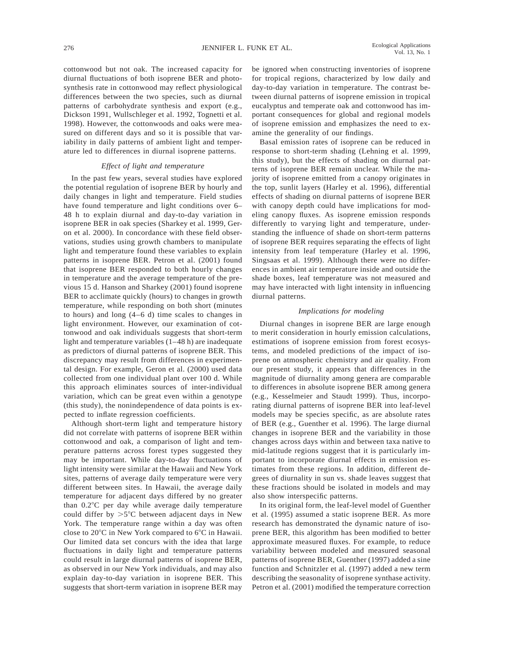cottonwood but not oak. The increased capacity for diurnal fluctuations of both isoprene BER and photosynthesis rate in cottonwood may reflect physiological differences between the two species, such as diurnal patterns of carbohydrate synthesis and export (e.g., Dickson 1991, Wullschleger et al. 1992, Tognetti et al. 1998). However, the cottonwoods and oaks were measured on different days and so it is possible that variability in daily patterns of ambient light and temperature led to differences in diurnal isoprene patterns.

## *Effect of light and temperature*

In the past few years, several studies have explored the potential regulation of isoprene BER by hourly and daily changes in light and temperature. Field studies have found temperature and light conditions over 6– 48 h to explain diurnal and day-to-day variation in isoprene BER in oak species (Sharkey et al. 1999, Geron et al. 2000). In concordance with these field observations, studies using growth chambers to manipulate light and temperature found these variables to explain patterns in isoprene BER. Petron et al. (2001) found that isoprene BER responded to both hourly changes in temperature and the average temperature of the previous 15 d. Hanson and Sharkey (2001) found isoprene BER to acclimate quickly (hours) to changes in growth temperature, while responding on both short (minutes to hours) and long (4–6 d) time scales to changes in light environment. However, our examination of cottonwood and oak individuals suggests that short-term light and temperature variables (1–48 h) are inadequate as predictors of diurnal patterns of isoprene BER. This discrepancy may result from differences in experimental design. For example, Geron et al. (2000) used data collected from one individual plant over 100 d. While this approach eliminates sources of inter-individual variation, which can be great even within a genotype (this study), the nonindependence of data points is expected to inflate regression coefficients.

Although short-term light and temperature history did not correlate with patterns of isoprene BER within cottonwood and oak, a comparison of light and temperature patterns across forest types suggested they may be important. While day-to-day fluctuations of light intensity were similar at the Hawaii and New York sites, patterns of average daily temperature were very different between sites. In Hawaii, the average daily temperature for adjacent days differed by no greater than  $0.2^{\circ}$ C per day while average daily temperature could differ by  $>5^{\circ}$ C between adjacent days in New York. The temperature range within a day was often close to  $20^{\circ}$ C in New York compared to  $6^{\circ}$ C in Hawaii. Our limited data set concurs with the idea that large fluctuations in daily light and temperature patterns could result in large diurnal patterns of isoprene BER, as observed in our New York individuals, and may also explain day-to-day variation in isoprene BER. This suggests that short-term variation in isoprene BER may be ignored when constructing inventories of isoprene for tropical regions, characterized by low daily and day-to-day variation in temperature. The contrast between diurnal patterns of isoprene emission in tropical eucalyptus and temperate oak and cottonwood has important consequences for global and regional models of isoprene emission and emphasizes the need to examine the generality of our findings.

Basal emission rates of isoprene can be reduced in response to short-term shading (Lehning et al. 1999, this study), but the effects of shading on diurnal patterns of isoprene BER remain unclear. While the majority of isoprene emitted from a canopy originates in the top, sunlit layers (Harley et al. 1996), differential effects of shading on diurnal patterns of isoprene BER with canopy depth could have implications for modeling canopy fluxes. As isoprene emission responds differently to varying light and temperature, understanding the influence of shade on short-term patterns of isoprene BER requires separating the effects of light intensity from leaf temperature (Harley et al. 1996, Singsaas et al. 1999). Although there were no differences in ambient air temperature inside and outside the shade boxes, leaf temperature was not measured and may have interacted with light intensity in influencing diurnal patterns.

#### *Implications for modeling*

Diurnal changes in isoprene BER are large enough to merit consideration in hourly emission calculations, estimations of isoprene emission from forest ecosystems, and modeled predictions of the impact of isoprene on atmospheric chemistry and air quality. From our present study, it appears that differences in the magnitude of diurnality among genera are comparable to differences in absolute isoprene BER among genera (e.g., Kesselmeier and Staudt 1999). Thus, incorporating diurnal patterns of isoprene BER into leaf-level models may be species specific, as are absolute rates of BER (e.g., Guenther et al. 1996). The large diurnal changes in isoprene BER and the variability in those changes across days within and between taxa native to mid-latitude regions suggest that it is particularly important to incorporate diurnal effects in emission estimates from these regions. In addition, different degrees of diurnality in sun vs. shade leaves suggest that these fractions should be isolated in models and may also show interspecific patterns.

In its original form, the leaf-level model of Guenther et al. (1995) assumed a static isoprene BER. As more research has demonstrated the dynamic nature of isoprene BER, this algorithm has been modified to better approximate measured fluxes. For example, to reduce variability between modeled and measured seasonal patterns of isoprene BER, Guenther (1997) added a sine function and Schnitzler et al. (1997) added a new term describing the seasonality of isoprene synthase activity. Petron et al. (2001) modified the temperature correction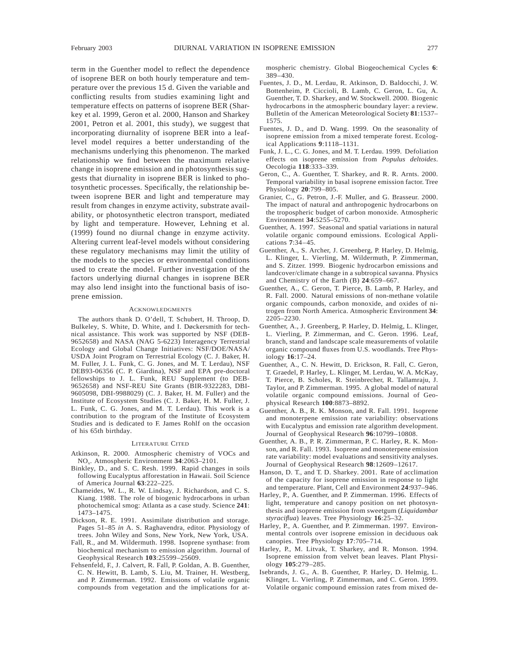term in the Guenther model to reflect the dependence of isoprene BER on both hourly temperature and temperature over the previous 15 d. Given the variable and conflicting results from studies examining light and temperature effects on patterns of isoprene BER (Sharkey et al. 1999, Geron et al. 2000, Hanson and Sharkey 2001, Petron et al. 2001, this study), we suggest that incorporating diurnality of isoprene BER into a leaflevel model requires a better understanding of the mechanisms underlying this phenomenon. The marked relationship we find between the maximum relative change in isoprene emission and in photosynthesis suggests that diurnality in isoprene BER is linked to photosynthetic processes. Specifically, the relationship between isoprene BER and light and temperature may result from changes in enzyme activity, substrate availability, or photosynthetic electron transport, mediated by light and temperature. However, Lehning et al. (1999) found no diurnal change in enzyme activity. Altering current leaf-level models without considering these regulatory mechanisms may limit the utility of the models to the species or environmental conditions used to create the model. Further investigation of the factors underlying diurnal changes in isoprene BER may also lend insight into the functional basis of isoprene emission.

#### **ACKNOWLEDGMENTS**

The authors thank D. O'dell, T. Schubert, H. Throop, D. Bulkeley, S. White, D. White, and I. Døckersmith for technical assistance. This work was supported by NSF (DEB-9652658) and NASA (NAG 5-6223) Interagency Terrestrial Ecology and Global Change Initiatives: NSF/DOE/NASA/ USDA Joint Program on Terrestrial Ecology (C. J. Baker, H. M. Fuller, J. L. Funk, C. G. Jones, and M. T. Lerdau), NSF DEB93-06356 (C. P. Giardina), NSF and EPA pre-doctoral fellowships to J. L. Funk, REU Supplement (to DEB-9652658) and NSF-REU Site Grants (BIR-9322283, DBI-9605098, DBI-9988029) (C. J. Baker, H. M. Fuller) and the Institute of Ecosystem Studies (C. J. Baker, H. M. Fuller, J. L. Funk, C. G. Jones, and M. T. Lerdau). This work is a contribution to the program of the Institute of Ecosystem Studies and is dedicated to F. James Rohlf on the occasion of his 65th birthday.

#### LITERATURE CITED

- Atkinson, R. 2000. Atmospheric chemistry of VOCs and NOx. Atmospheric Environment **34**:2063–2101.
- Binkley, D., and S. C. Resh. 1999. Rapid changes in soils following Eucalyptus afforestation in Hawaii. Soil Science of America Journal **63**:222–225.
- Chameides, W. L., R. W. Lindsay, J. Richardson, and C. S. Kiang. 1988. The role of biogenic hydrocarbons in urban photochemical smog: Atlanta as a case study. Science **241**: 1473–1475.
- Dickson, R. E. 1991. Assimilate distribution and storage. Pages 51–85 *in* A. S. Raghavendra, editor. Physiology of trees. John Wiley and Sons, New York, New York, USA.
- Fall, R., and M. Wildermuth. 1998. Isoprene synthase: from biochemical mechanism to emission algorithm. Journal of Geophysical Research **103**:25599–25609.
- Fehsenfeld, F., J. Calvert, R. Fall, P. Goldan, A. B. Guenther, C. N. Hewitt, B. Lamb, S. Liu, M. Trainer, H. Westberg, and P. Zimmerman. 1992. Emissions of volatile organic compounds from vegetation and the implications for at-

mospheric chemistry. Global Biogeochemical Cycles **6**: 389–430.

- Fuentes, J. D., M. Lerdau, R. Atkinson, D. Baldocchi, J. W. Bottenheim, P. Ciccioli, B. Lamb, C. Geron, L. Gu, A. Guenther, T. D. Sharkey, and W. Stockwell. 2000. Biogenic hydrocarbons in the atmospheric boundary layer: a review. Bulletin of the American Meteorological Society **81**:1537– 1575.
- Fuentes, J. D., and D. Wang. 1999. On the seasonality of isoprene emission from a mixed temperate forest. Ecological Applications **9**:1118–1131.
- Funk, J. L., C. G. Jones, and M. T. Lerdau. 1999. Defoliation effects on isoprene emission from *Populus deltoides*. Oecologia **118**:333–339.
- Geron, C., A. Guenther, T. Sharkey, and R. R. Arnts. 2000. Temporal variability in basal isoprene emission factor. Tree Physiology **20**:799–805.
- Granier, C., G. Petron, J.-F. Muller, and G. Brasseur. 2000. The impact of natural and anthropogenic hydrocarbons on the tropospheric budget of carbon monoxide. Atmospheric Environment **34**:5255–5270.
- Guenther, A. 1997. Seasonal and spatial variations in natural volatile organic compound emissions. Ecological Applications **7**:34–45.
- Guenther, A., S. Archer, J. Greenberg, P. Harley, D. Helmig, L. Klinger, L. Vierling, M. Wildermuth, P. Zimmerman, and S. Zitzer. 1999. Biogenic hydrocarbon emissions and landcover/climate change in a subtropical savanna. Physics and Chemistry of the Earth (B) **24**:659–667.
- Guenther, A., C. Geron, T. Pierce, B. Lamb, P. Harley, and R. Fall. 2000. Natural emissions of non-methane volatile organic compounds, carbon monoxide, and oxides of nitrogen from North America. Atmospheric Environment **34**: 2205–2230.
- Guenther, A., J. Greenberg, P. Harley, D. Helmig, L. Klinger, L. Vierling, P. Zimmerman, and C. Geron. 1996. Leaf, branch, stand and landscape scale measurements of volatile organic compound fluxes from U.S. woodlands. Tree Physiology **16**:17–24.
- Guenther, A., C. N. Hewitt, D. Erickson, R. Fall, C. Geron, T. Graedel, P. Harley, L. Klinger, M. Lerdau, W. A. McKay, T. Pierce, B. Scholes, R. Steinbrecher, R. Tallamraju, J. Taylor, and P. Zimmerman. 1995. A global model of natural volatile organic compound emissions. Journal of Geophysical Research **100**:8873–8892.
- Guenther, A. B., R. K. Monson, and R. Fall. 1991. Isoprene and monoterpene emission rate variability: observations with Eucalyptus and emission rate algorithm development. Journal of Geophysical Research **96**:10799–10808.
- Guenther, A. B., P. R. Zimmerman, P. C. Harley, R. K. Monson, and R. Fall. 1993. Isoprene and monoterpene emission rate variability: model evaluations and sensitivity analyses. Journal of Geophysical Research **98**:12609–12617.
- Hanson, D. T., and T. D. Sharkey. 2001. Rate of acclimation of the capacity for isoprene emission in response to light and temperature. Plant, Cell and Environment **24**:937–946.
- Harley, P., A. Guenther, and P. Zimmerman. 1996. Effects of light, temperature and canopy position on net photosynthesis and isoprene emission from sweetgum (*Liquidambar styraciflua*) leaves. Tree Physiology **16**:25–32.
- Harley, P., A. Guenther, and P. Zimmerman. 1997. Environmental controls over isoprene emission in deciduous oak canopies. Tree Physiology **17**:705–714.
- Harley, P., M. Litvak, T. Sharkey, and R. Monson. 1994. Isoprene emission from velvet bean leaves. Plant Physiology **105**:279–285.
- Isebrands, J. G., A. B. Guenther, P. Harley, D. Helmig, L. Klinger, L. Vierling, P. Zimmerman, and C. Geron. 1999. Volatile organic compound emission rates from mixed de-